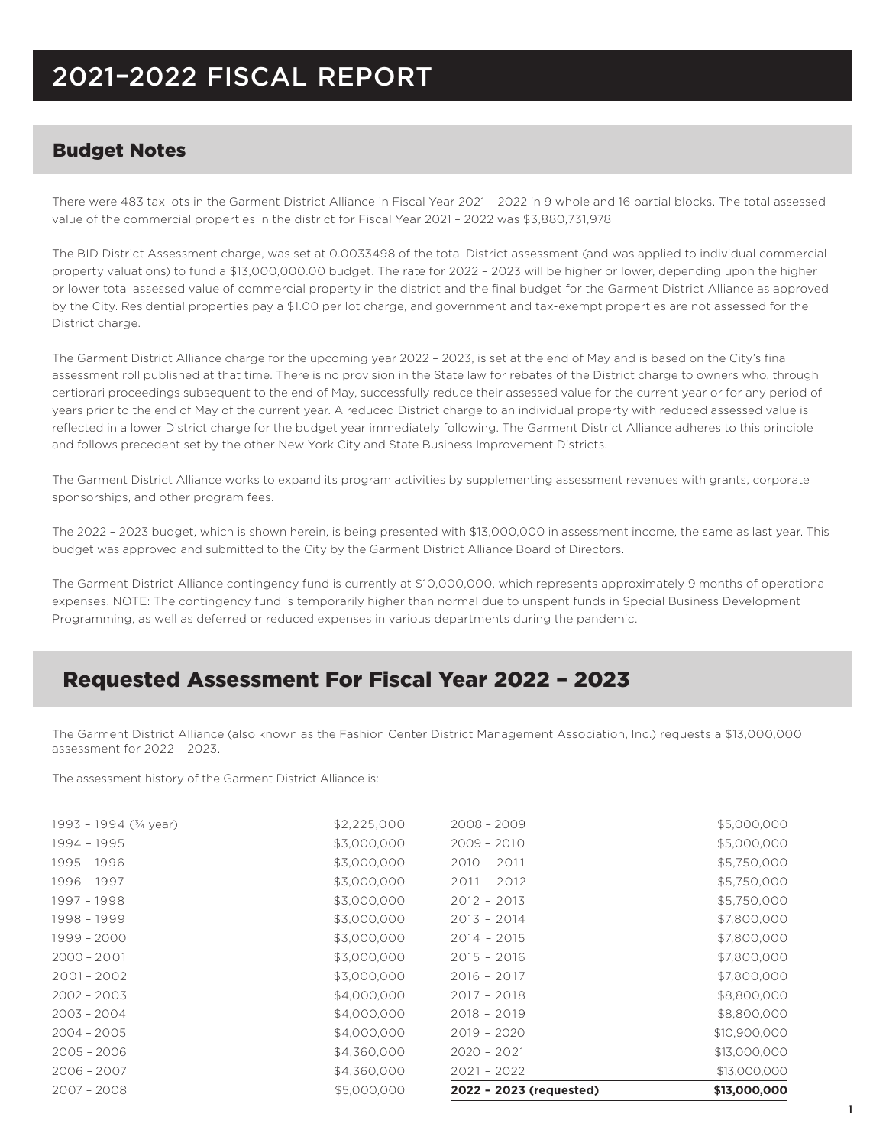# 2021–2022 FISCAL REPORT

#### Budget Notes

There were 483 tax lots in the Garment District Alliance in Fiscal Year 2021 – 2022 in 9 whole and 16 partial blocks. The total assessed value of the commercial properties in the district for Fiscal Year 2021 – 2022 was \$3,880,731,978

The BID District Assessment charge, was set at 0.0033498 of the total District assessment (and was applied to individual commercial property valuations) to fund a \$13,000,000.00 budget. The rate for 2022 – 2023 will be higher or lower, depending upon the higher or lower total assessed value of commercial property in the district and the final budget for the Garment District Alliance as approved by the City. Residential properties pay a \$1.00 per lot charge, and government and tax-exempt properties are not assessed for the District charge.

The Garment District Alliance charge for the upcoming year 2022 – 2023, is set at the end of May and is based on the City's final assessment roll published at that time. There is no provision in the State law for rebates of the District charge to owners who, through certiorari proceedings subsequent to the end of May, successfully reduce their assessed value for the current year or for any period of years prior to the end of May of the current year. A reduced District charge to an individual property with reduced assessed value is reflected in a lower District charge for the budget year immediately following. The Garment District Alliance adheres to this principle and follows precedent set by the other New York City and State Business Improvement Districts.

The Garment District Alliance works to expand its program activities by supplementing assessment revenues with grants, corporate sponsorships, and other program fees.

The 2022 – 2023 budget, which is shown herein, is being presented with \$13,000,000 in assessment income, the same as last year. This budget was approved and submitted to the City by the Garment District Alliance Board of Directors.

The Garment District Alliance contingency fund is currently at \$10,000,000, which represents approximately 9 months of operational expenses. NOTE: The contingency fund is temporarily higher than normal due to unspent funds in Special Business Development Programming, as well as deferred or reduced expenses in various departments during the pandemic.

## Requested Assessment For Fiscal Year 2022 – 2023

The Garment District Alliance (also known as the Fashion Center District Management Association, Inc.) requests a \$13,000,000 assessment for 2022 – 2023.

The assessment history of the Garment District Alliance is:

| $2007 - 2008$          | \$5,000,000 | 2022 - 2023 (requested) | \$13,000,000 |
|------------------------|-------------|-------------------------|--------------|
| $2006 - 2007$          | \$4,360,000 | $2021 - 2022$           | \$13,000,000 |
| $2005 - 2006$          | \$4,360,000 | $2020 - 2021$           | \$13,000,000 |
| $2004 - 2005$          | \$4,000,000 | $2019 - 2020$           | \$10,900,000 |
| $2003 - 2004$          | \$4,000,000 | $2018 - 2019$           | \$8,800,000  |
| $2002 - 2003$          | \$4,000,000 | $2017 - 2018$           | \$8,800,000  |
| $2001 - 2002$          | \$3,000,000 | $2016 - 2017$           | \$7,800,000  |
| $2000 - 2001$          | \$3,000,000 | $2015 - 2016$           | \$7,800,000  |
| 1999 - 2000            | \$3,000,000 | $2014 - 2015$           | \$7,800,000  |
| 1998 - 1999            | \$3,000,000 | $2013 - 2014$           | \$7,800,000  |
| 1997 - 1998            | \$3,000,000 | $2012 - 2013$           | \$5,750,000  |
| 1996 - 1997            | \$3,000,000 | $2011 - 2012$           | \$5,750,000  |
| 1995 - 1996            | \$3,000,000 | $2010 - 2011$           | \$5,750,000  |
| 1994 - 1995            | \$3,000,000 | $2009 - 2010$           | \$5,000,000  |
| 1993 - 1994 (3/4 year) | \$2,225,000 | $2008 - 2009$           | \$5,000,000  |
|                        |             |                         |              |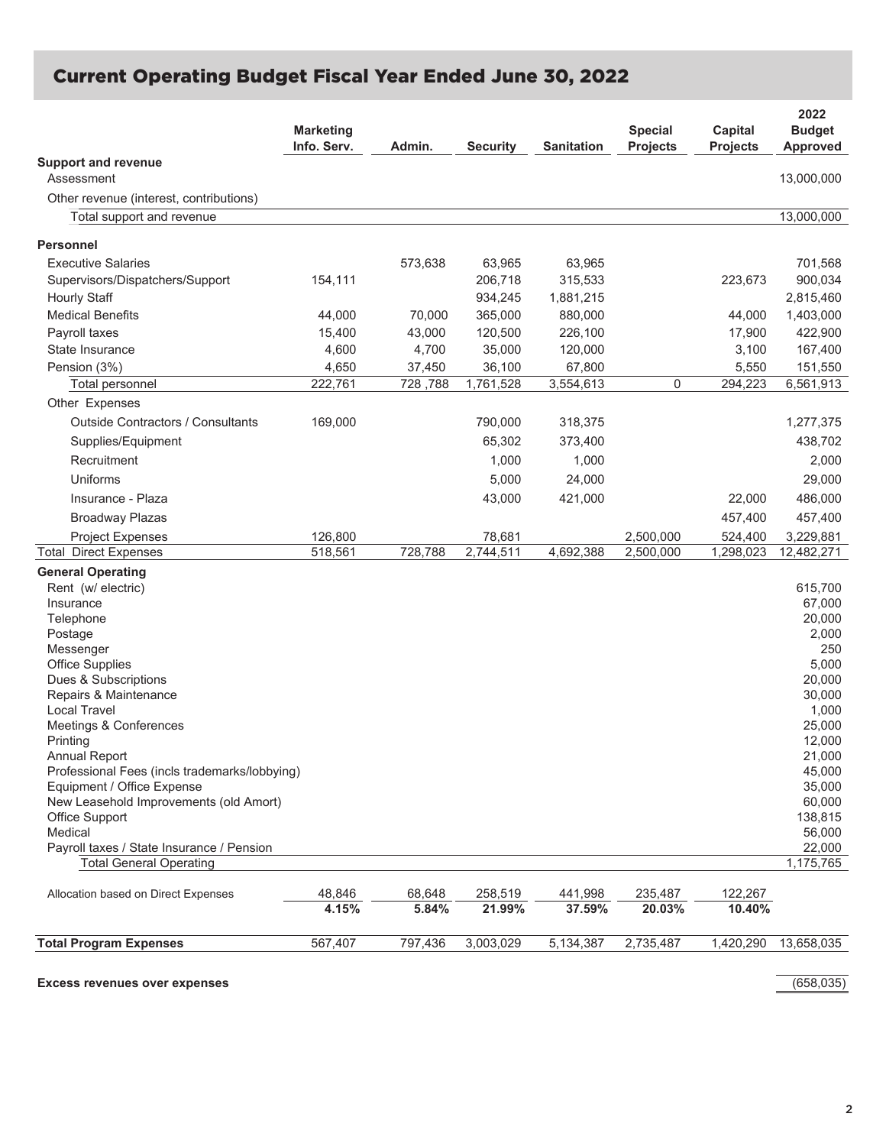### **Current Operating Budget Fiscal Year Ended June 30, 2022**

|                                               | <b>Marketing</b><br>Info. Serv. | Admin.          | <b>Security</b>   | <b>Sanitation</b> | <b>Special</b><br><b>Projects</b> | Capital<br><b>Projects</b> | 2022<br><b>Budget</b><br>Approved |
|-----------------------------------------------|---------------------------------|-----------------|-------------------|-------------------|-----------------------------------|----------------------------|-----------------------------------|
| <b>Support and revenue</b><br>Assessment      |                                 |                 |                   |                   |                                   |                            | 13,000,000                        |
| Other revenue (interest, contributions)       |                                 |                 |                   |                   |                                   |                            |                                   |
| Total support and revenue                     |                                 |                 |                   |                   |                                   |                            | 13,000,000                        |
| <b>Personnel</b>                              |                                 |                 |                   |                   |                                   |                            |                                   |
| <b>Executive Salaries</b>                     |                                 | 573,638         | 63,965            | 63,965            |                                   |                            | 701,568                           |
| Supervisors/Dispatchers/Support               | 154,111                         |                 | 206,718           | 315,533           |                                   | 223,673                    | 900,034                           |
| <b>Hourly Staff</b>                           |                                 |                 | 934,245           | 1,881,215         |                                   |                            | 2,815,460                         |
| <b>Medical Benefits</b>                       | 44,000                          | 70,000          | 365,000           | 880,000           |                                   | 44,000                     | 1,403,000                         |
| Payroll taxes                                 |                                 |                 |                   |                   |                                   |                            | 422,900                           |
| State Insurance                               | 15,400<br>4,600                 | 43,000<br>4,700 | 120,500<br>35,000 | 226,100           |                                   | 17,900                     | 167,400                           |
|                                               |                                 |                 |                   | 120,000           |                                   | 3,100                      |                                   |
| Pension (3%)                                  | 4,650                           | 37,450          | 36,100            | 67,800            |                                   | 5,550                      | 151,550                           |
| Total personnel                               | 222,761                         | 728,788         | 1,761,528         | 3,554,613         | 0                                 | 294,223                    | 6,561,913                         |
| Other Expenses                                |                                 |                 |                   |                   |                                   |                            |                                   |
| Outside Contractors / Consultants             | 169,000                         |                 | 790,000           | 318,375           |                                   |                            | 1,277,375                         |
| Supplies/Equipment                            |                                 |                 | 65,302            | 373,400           |                                   |                            | 438,702                           |
| Recruitment                                   |                                 |                 | 1,000             | 1,000             |                                   |                            | 2,000                             |
| Uniforms                                      |                                 |                 | 5,000             | 24,000            |                                   |                            | 29,000                            |
| Insurance - Plaza                             |                                 |                 | 43,000            | 421,000           |                                   | 22,000                     | 486,000                           |
| <b>Broadway Plazas</b>                        |                                 |                 |                   |                   |                                   | 457,400                    | 457,400                           |
| <b>Project Expenses</b>                       | 126,800                         |                 | 78,681            |                   | 2,500,000                         | 524,400                    | 3,229,881                         |
| <b>Total Direct Expenses</b>                  | 518,561                         | 728,788         | 2,744,511         | 4,692,388         | 2,500,000                         | 1,298,023                  | 12,482,271                        |
| <b>General Operating</b>                      |                                 |                 |                   |                   |                                   |                            |                                   |
| Rent (w/ electric)                            |                                 |                 |                   |                   |                                   |                            | 615,700                           |
| Insurance                                     |                                 |                 |                   |                   |                                   |                            | 67,000                            |
| Telephone                                     |                                 |                 |                   |                   |                                   |                            | 20,000                            |
| Postage                                       |                                 |                 |                   |                   |                                   |                            | 2,000                             |
| Messenger<br><b>Office Supplies</b>           |                                 |                 |                   |                   |                                   |                            | 250<br>5,000                      |
| Dues & Subscriptions                          |                                 |                 |                   |                   |                                   |                            | 20,000                            |
| Repairs & Maintenance                         |                                 |                 |                   |                   |                                   |                            | 30,000                            |
| <b>Local Travel</b>                           |                                 |                 |                   |                   |                                   |                            | 1,000                             |
| Meetings & Conferences                        |                                 |                 |                   |                   |                                   |                            | 25,000                            |
| Printing                                      |                                 |                 |                   |                   |                                   |                            | 12,000                            |
| Annual Report                                 |                                 |                 |                   |                   |                                   |                            | 21,000                            |
| Professional Fees (incls trademarks/lobbying) |                                 |                 |                   |                   |                                   |                            | 45,000                            |
| Equipment / Office Expense                    |                                 |                 |                   |                   |                                   |                            | 35,000                            |
| New Leasehold Improvements (old Amort)        |                                 |                 |                   |                   |                                   |                            | 60,000                            |
| Office Support<br>Medical                     |                                 |                 |                   |                   |                                   |                            | 138,815<br>56,000                 |
| Payroll taxes / State Insurance / Pension     |                                 |                 |                   |                   |                                   |                            | 22,000                            |
| <b>Total General Operating</b>                |                                 |                 |                   |                   |                                   |                            | 1,175,765                         |
|                                               |                                 |                 |                   |                   |                                   |                            |                                   |
| Allocation based on Direct Expenses           | 48,846<br>4.15%                 | 68,648<br>5.84% | 258,519<br>21.99% | 441,998<br>37.59% | 235,487<br>20.03%                 | 122,267<br>10.40%          |                                   |
| <b>Total Program Expenses</b>                 | 567,407                         | 797,436         | 3,003,029         | 5,134,387         | 2,735,487                         | 1,420,290                  | 13,658,035                        |

**Excess revenues over expenses** (658,035)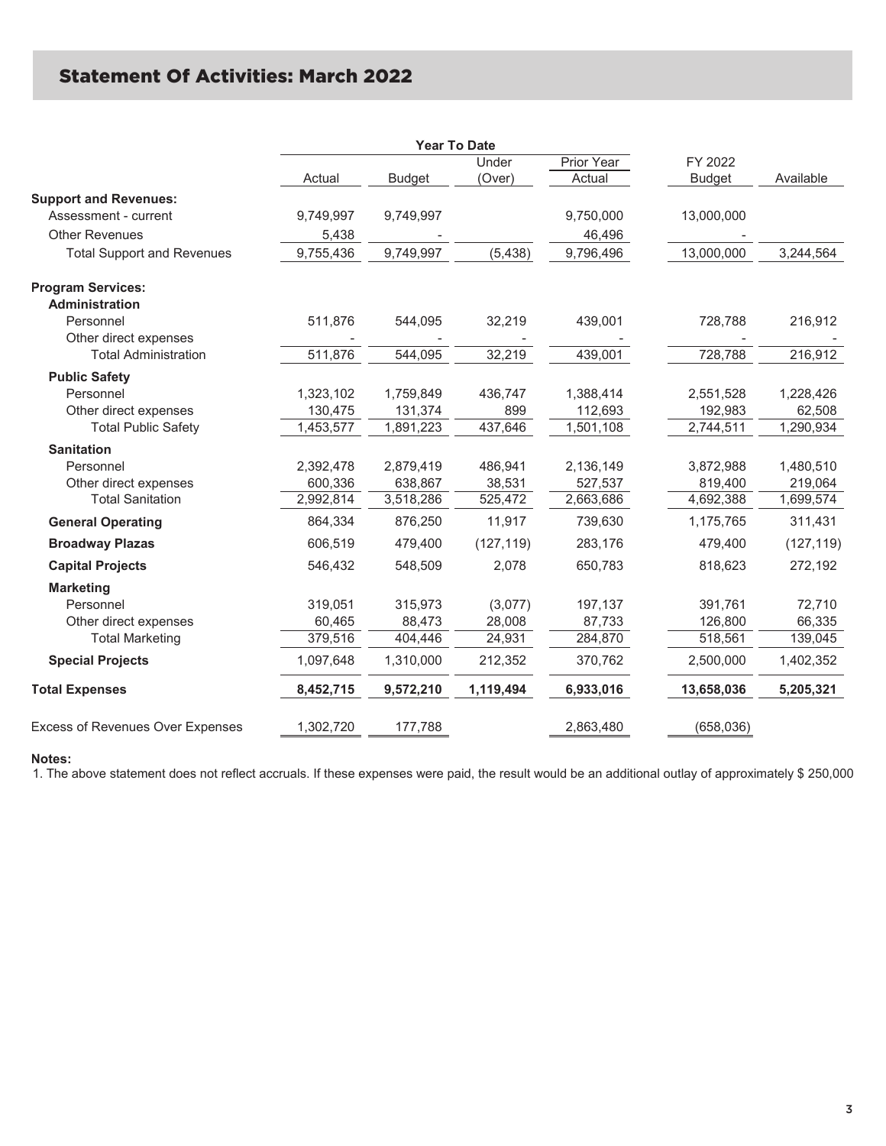### **Statement Of Activities: March 2022**

|                                         |           |               | <b>Year To Date</b> |            |               |            |
|-----------------------------------------|-----------|---------------|---------------------|------------|---------------|------------|
|                                         |           |               | Under               | Prior Year | FY 2022       |            |
|                                         | Actual    | <b>Budget</b> | (Over)              | Actual     | <b>Budget</b> | Available  |
| <b>Support and Revenues:</b>            |           |               |                     |            |               |            |
| Assessment - current                    | 9,749,997 | 9,749,997     |                     | 9,750,000  | 13,000,000    |            |
| <b>Other Revenues</b>                   | 5,438     |               |                     | 46,496     |               |            |
| <b>Total Support and Revenues</b>       | 9,755,436 | 9,749,997     | (5, 438)            | 9,796,496  | 13,000,000    | 3,244,564  |
| <b>Program Services:</b>                |           |               |                     |            |               |            |
| Administration                          |           |               |                     |            |               |            |
| Personnel                               | 511,876   | 544,095       | 32,219              | 439,001    | 728,788       | 216,912    |
| Other direct expenses                   |           |               |                     |            |               |            |
| <b>Total Administration</b>             | 511,876   | 544,095       | 32,219              | 439,001    | 728,788       | 216,912    |
| <b>Public Safety</b>                    |           |               |                     |            |               |            |
| Personnel                               | 1,323,102 | 1,759,849     | 436,747             | 1,388,414  | 2,551,528     | 1,228,426  |
| Other direct expenses                   | 130,475   | 131,374       | 899                 | 112,693    | 192,983       | 62,508     |
| <b>Total Public Safety</b>              | 1,453,577 | 1,891,223     | 437,646             | 1,501,108  | 2,744,511     | 1,290,934  |
| <b>Sanitation</b>                       |           |               |                     |            |               |            |
| Personnel                               | 2,392,478 | 2,879,419     | 486,941             | 2,136,149  | 3,872,988     | 1,480,510  |
| Other direct expenses                   | 600,336   | 638,867       | 38,531              | 527,537    | 819,400       | 219,064    |
| <b>Total Sanitation</b>                 | 2,992,814 | 3,518,286     | 525,472             | 2,663,686  | 4,692,388     | 1,699,574  |
| <b>General Operating</b>                | 864,334   | 876,250       | 11,917              | 739,630    | 1,175,765     | 311,431    |
| <b>Broadway Plazas</b>                  | 606,519   | 479,400       | (127, 119)          | 283,176    | 479,400       | (127, 119) |
| <b>Capital Projects</b>                 | 546,432   | 548,509       | 2,078               | 650,783    | 818,623       | 272,192    |
| <b>Marketing</b>                        |           |               |                     |            |               |            |
| Personnel                               | 319,051   | 315,973       | (3,077)             | 197,137    | 391,761       | 72,710     |
| Other direct expenses                   | 60,465    | 88,473        | 28,008              | 87,733     | 126,800       | 66,335     |
| <b>Total Marketing</b>                  | 379,516   | 404,446       | 24,931              | 284,870    | 518,561       | 139,045    |
| <b>Special Projects</b>                 | 1,097,648 | 1,310,000     | 212,352             | 370,762    | 2,500,000     | 1,402,352  |
| <b>Total Expenses</b>                   | 8,452,715 | 9,572,210     | 1,119,494           | 6,933,016  | 13,658,036    | 5,205,321  |
| <b>Excess of Revenues Over Expenses</b> | 1,302,720 | 177,788       |                     | 2,863,480  | (658, 036)    |            |
|                                         |           |               |                     |            |               |            |

#### **Notes:**

1. The above statement does not reflect accruals. If these expenses were paid, the result would be an additional outlay of approximately \$ 250,000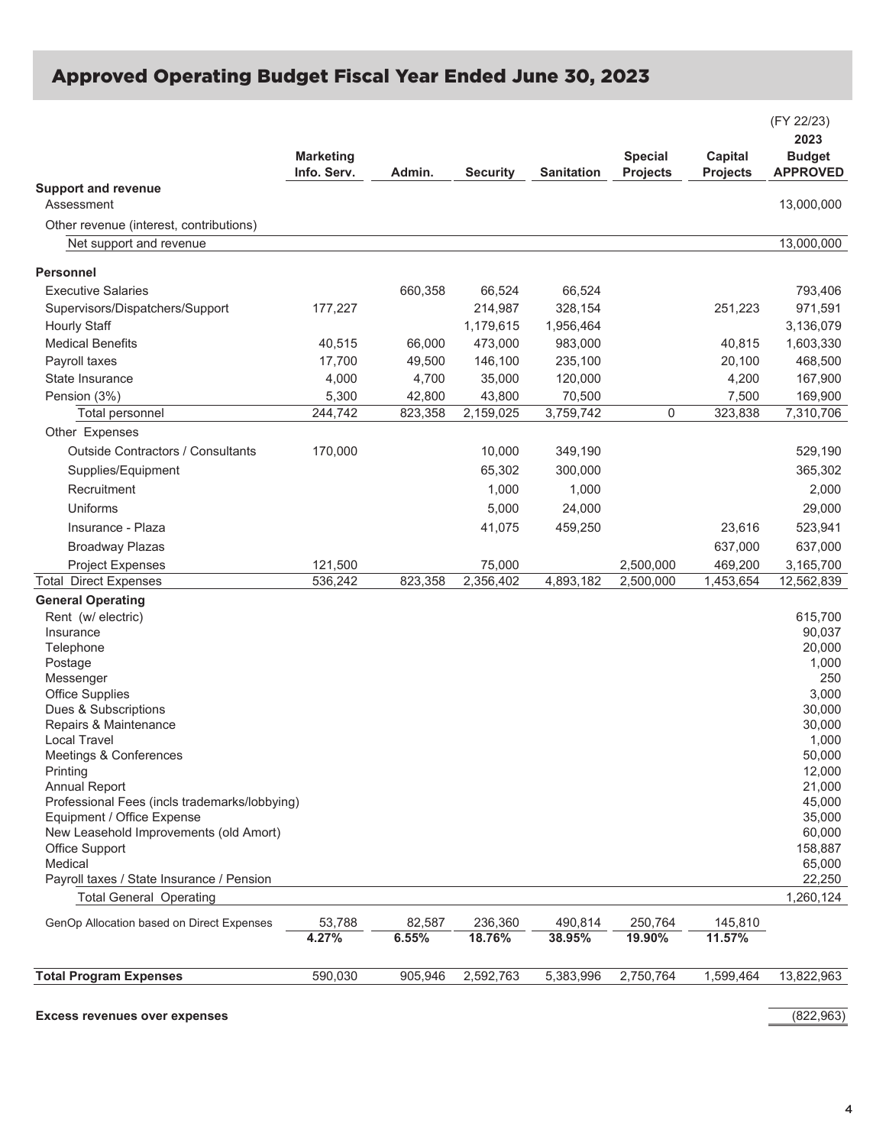## Approved Operating Budget Fiscal Year Ended June 30, 2023

|                                                                             | <b>Marketing</b><br>Info. Serv. | Admin.  | <b>Security</b> | <b>Sanitation</b> | <b>Special</b><br><b>Projects</b> | Capital<br><b>Projects</b> | (FY 22/23)<br>2023<br><b>Budget</b><br><b>APPROVED</b> |
|-----------------------------------------------------------------------------|---------------------------------|---------|-----------------|-------------------|-----------------------------------|----------------------------|--------------------------------------------------------|
| <b>Support and revenue</b><br>Assessment                                    |                                 |         |                 |                   |                                   |                            | 13,000,000                                             |
| Other revenue (interest, contributions)                                     |                                 |         |                 |                   |                                   |                            |                                                        |
| Net support and revenue                                                     |                                 |         |                 |                   |                                   |                            | 13,000,000                                             |
| Personnel                                                                   |                                 |         |                 |                   |                                   |                            |                                                        |
| <b>Executive Salaries</b>                                                   |                                 | 660,358 | 66,524          | 66,524            |                                   |                            | 793,406                                                |
| Supervisors/Dispatchers/Support                                             | 177,227                         |         | 214,987         | 328,154           |                                   | 251,223                    | 971,591                                                |
| Hourly Staff                                                                |                                 |         | 1,179,615       | 1,956,464         |                                   |                            | 3,136,079                                              |
| <b>Medical Benefits</b>                                                     | 40,515                          | 66,000  | 473,000         | 983,000           |                                   | 40,815                     | 1,603,330                                              |
| Payroll taxes                                                               | 17,700                          | 49,500  | 146,100         | 235,100           |                                   | 20,100                     | 468,500                                                |
| State Insurance                                                             | 4,000                           | 4,700   | 35,000          | 120,000           |                                   | 4,200                      | 167,900                                                |
| Pension (3%)                                                                | 5,300                           | 42,800  | 43,800          | 70,500            |                                   | 7,500                      | 169,900                                                |
| Total personnel                                                             | 244,742                         | 823,358 | 2,159,025       | 3,759,742         | $\mathbf 0$                       | 323,838                    | 7,310,706                                              |
| Other Expenses                                                              |                                 |         |                 |                   |                                   |                            |                                                        |
| <b>Outside Contractors / Consultants</b>                                    |                                 |         |                 |                   |                                   |                            | 529,190                                                |
|                                                                             | 170,000                         |         | 10,000          | 349,190           |                                   |                            |                                                        |
| Supplies/Equipment                                                          |                                 |         | 65.302          | 300,000           |                                   |                            | 365,302                                                |
| Recruitment                                                                 |                                 |         | 1,000           | 1,000             |                                   |                            | 2,000                                                  |
| Uniforms                                                                    |                                 |         | 5,000           | 24,000            |                                   |                            | 29,000                                                 |
| Insurance - Plaza                                                           |                                 |         | 41,075          | 459,250           |                                   | 23,616                     | 523,941                                                |
| <b>Broadway Plazas</b>                                                      |                                 |         |                 |                   |                                   | 637,000                    | 637,000                                                |
| <b>Project Expenses</b>                                                     | 121,500                         |         | 75,000          |                   | 2,500,000                         | 469,200                    | 3,165,700                                              |
| <b>Total Direct Expenses</b>                                                | 536,242                         | 823,358 | 2,356,402       | 4,893,182         | 2,500,000                         | 1,453,654                  | 12,562,839                                             |
| <b>General Operating</b>                                                    |                                 |         |                 |                   |                                   |                            |                                                        |
| Rent (w/ electric)                                                          |                                 |         |                 |                   |                                   |                            | 615,700                                                |
| Insurance                                                                   |                                 |         |                 |                   |                                   |                            | 90,037                                                 |
| Telephone                                                                   |                                 |         |                 |                   |                                   |                            | 20,000<br>1,000                                        |
| Postage<br>Messenger                                                        |                                 |         |                 |                   |                                   |                            | 250                                                    |
| <b>Office Supplies</b>                                                      |                                 |         |                 |                   |                                   |                            | 3,000                                                  |
| Dues & Subscriptions                                                        |                                 |         |                 |                   |                                   |                            | 30,000                                                 |
| Repairs & Maintenance                                                       |                                 |         |                 |                   |                                   |                            | 30,000                                                 |
| <b>Local Travel</b>                                                         |                                 |         |                 |                   |                                   |                            | 1,000                                                  |
| Meetings & Conferences                                                      |                                 |         |                 |                   |                                   |                            | 50,000                                                 |
| Printing                                                                    |                                 |         |                 |                   |                                   |                            | 12,000                                                 |
| <b>Annual Report</b>                                                        |                                 |         |                 |                   |                                   |                            | 21,000                                                 |
| Professional Fees (incls trademarks/lobbying)<br>Equipment / Office Expense |                                 |         |                 |                   |                                   |                            | 45,000<br>35,000                                       |
| New Leasehold Improvements (old Amort)                                      |                                 |         |                 |                   |                                   |                            | 60,000                                                 |
| Office Support                                                              |                                 |         |                 |                   |                                   |                            | 158,887                                                |
| Medical                                                                     |                                 |         |                 |                   |                                   |                            | 65,000                                                 |
| Payroll taxes / State Insurance / Pension                                   |                                 |         |                 |                   |                                   |                            | 22,250                                                 |
| <b>Total General Operating</b>                                              |                                 |         |                 |                   |                                   |                            | 1,260,124                                              |
| GenOp Allocation based on Direct Expenses                                   | 53,788                          | 82,587  | 236,360         | 490,814           | 250,764                           | 145,810                    |                                                        |
|                                                                             | 4.27%                           | 6.55%   | 18.76%          | 38.95%            | 19.90%                            | 11.57%                     |                                                        |
|                                                                             |                                 |         |                 |                   |                                   |                            |                                                        |
| <b>Total Program Expenses</b>                                               | 590,030                         | 905,946 | 2,592,763       | 5,383,996         | 2,750,764                         | 1,599,464                  | 13,822,963                                             |

**Excess revenues over expenses** (822,963)